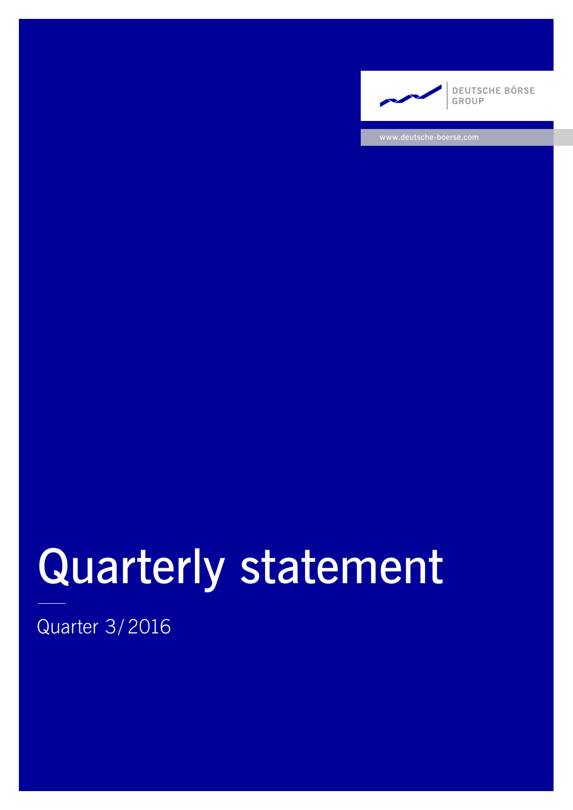

www.deutsche-boerse.com

# Quarterly statement

Quarter 3/ 2016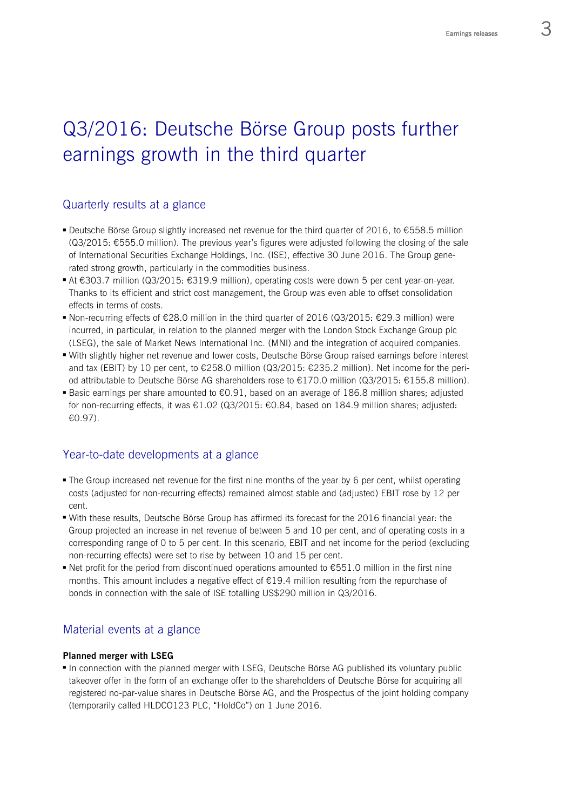# Q3/2016: Deutsche Börse Group posts further earnings growth in the third quarter

# Quarterly results at a glance

- Deutsche Börse Group slightly increased net revenue for the third quarter of 2016, to €558.5 million (Q3/2015: €555.0 million). The previous year's figures were adjusted following the closing of the sale of International Securities Exchange Holdings, Inc. (ISE), effective 30 June 2016. The Group generated strong growth, particularly in the commodities business.
- At €303.7 million (Q3/2015: €319.9 million), operating costs were down 5 per cent year-on-year. Thanks to its efficient and strict cost management, the Group was even able to offset consolidation effects in terms of costs.
- Non-recurring effects of  $\epsilon$ 28.0 million in the third quarter of 2016 (Q3/2015:  $\epsilon$ 29.3 million) were incurred, in particular, in relation to the planned merger with the London Stock Exchange Group plc (LSEG), the sale of Market News International Inc. (MNI) and the integration of acquired companies.
- With slightly higher net revenue and lower costs, Deutsche Börse Group raised earnings before interest and tax (EBIT) by 10 per cent, to €258.0 million (Q3/2015: €235.2 million). Net income for the period attributable to Deutsche Börse AG shareholders rose to €170.0 million (Q3/2015: €155.8 million).
- Basic earnings per share amounted to €0.91, based on an average of 186.8 million shares; adjusted for non-recurring effects, it was  $\epsilon$ 1.02 (Q3/2015:  $\epsilon$ 0.84, based on 184.9 million shares; adjusted: €0.97).

# Year-to-date developments at a glance

- The Group increased net revenue for the first nine months of the year by 6 per cent, whilst operating costs (adjusted for non-recurring effects) remained almost stable and (adjusted) EBIT rose by 12 per cent.
- With these results, Deutsche Börse Group has affirmed its forecast for the 2016 financial year: the Group projected an increase in net revenue of between 5 and 10 per cent, and of operating costs in a corresponding range of 0 to 5 per cent. In this scenario, EBIT and net income for the period (excluding non-recurring effects) were set to rise by between 10 and 15 per cent.
- Net profit for the period from discontinued operations amounted to  $\epsilon$ 551.0 million in the first nine months. This amount includes a negative effect of  $E19.4$  million resulting from the repurchase of bonds in connection with the sale of ISE totalling US\$290 million in Q3/2016.

# Material events at a glance

#### **Planned merger with LSEG**

 In connection with the planned merger with LSEG, Deutsche Börse AG published its voluntary public takeover offer in the form of an exchange offer to the shareholders of Deutsche Börse for acquiring all registered no-par-value shares in Deutsche Börse AG, and the Prospectus of the joint holding company (temporarily called HLDCO123 PLC, "HoldCo") on 1 June 2016.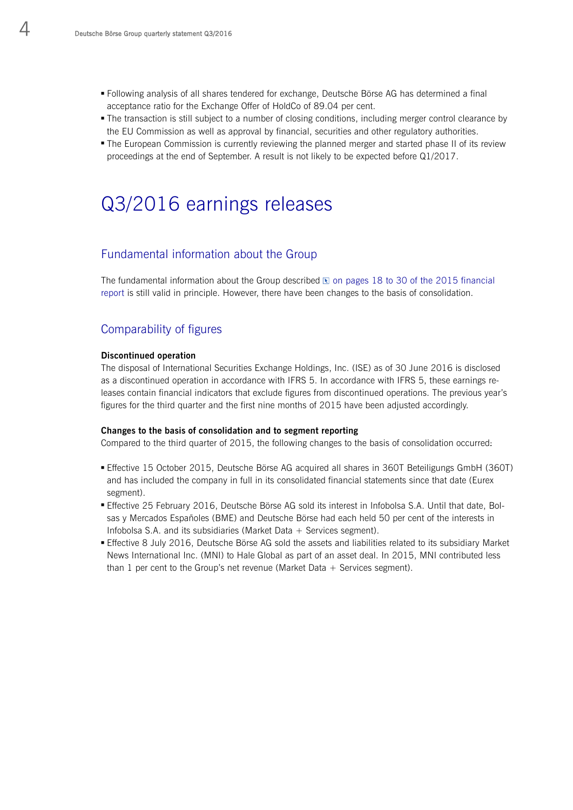- Following analysis of all shares tendered for exchange, Deutsche Börse AG has determined a final acceptance ratio for the Exchange Offer of HoldCo of 89.04 per cent.
- The transaction is still subject to a number of closing conditions, including merger control clearance by the EU Commission as well as approval by financial, securities and other regulatory authorities.
- The European Commission is currently reviewing the planned merger and started phase II of its review proceedings at the end of September. A result is not likely to be expected before Q1/2017.

# Q3/2016 earnings releases

## Fundamental information about the Group

The fundamental information about the Group described  $\mathbb E$  on pages 18 to 30 of the 2015 financial report is still valid in principle. However, there have been changes to the basis of consolidation.

## Comparability of figures

#### **Discontinued operation**

The disposal of International Securities Exchange Holdings, Inc. (ISE) as of 30 June 2016 is disclosed as a discontinued operation in accordance with IFRS 5. In accordance with IFRS 5, these earnings releases contain financial indicators that exclude figures from discontinued operations. The previous year's figures for the third quarter and the first nine months of 2015 have been adjusted accordingly.

#### **Changes to the basis of consolidation and to segment reporting**

Compared to the third quarter of 2015, the following changes to the basis of consolidation occurred:

- Effective 15 October 2015, Deutsche Börse AG acquired all shares in 360T Beteiligungs GmbH (360T) and has included the company in full in its consolidated financial statements since that date (Eurex segment).
- Effective 25 February 2016, Deutsche Börse AG sold its interest in Infobolsa S.A. Until that date, Bolsas y Mercados Españoles (BME) and Deutsche Börse had each held 50 per cent of the interests in Infobolsa S.A. and its subsidiaries (Market Data + Services segment).
- Effective 8 July 2016, Deutsche Börse AG sold the assets and liabilities related to its subsidiary Market News International Inc. (MNI) to Hale Global as part of an asset deal. In 2015, MNI contributed less than 1 per cent to the Group's net revenue (Market Data  $+$  Services segment).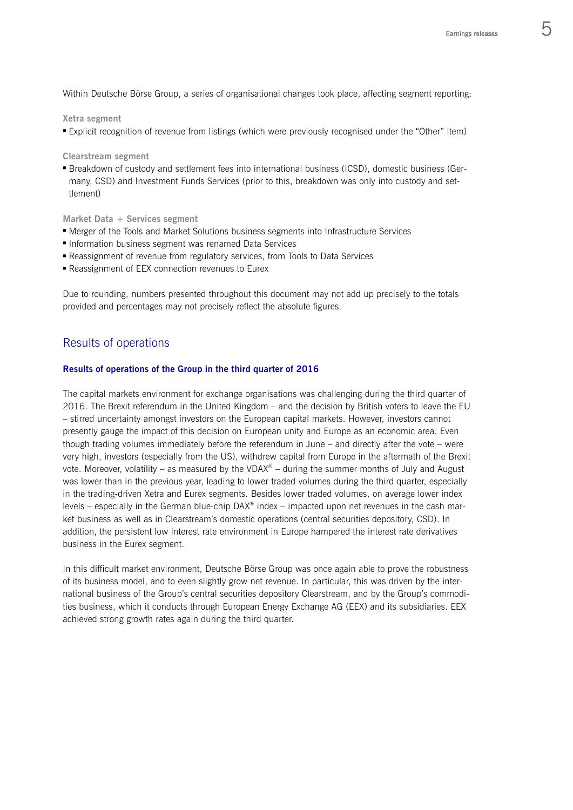Within Deutsche Börse Group, a series of organisational changes took place, affecting segment reporting:

#### **Xetra segment**

Explicit recognition of revenue from listings (which were previously recognised under the "Other" item)

#### **Clearstream segment**

 Breakdown of custody and settlement fees into international business (ICSD), domestic business (Germany, CSD) and Investment Funds Services (prior to this, breakdown was only into custody and settlement)

**Market Data + Services segment** 

- Merger of the Tools and Market Solutions business segments into Infrastructure Services
- **Information business segment was renamed Data Services**
- Reassignment of revenue from regulatory services, from Tools to Data Services
- **Reassignment of EEX connection revenues to Eurex**

Due to rounding, numbers presented throughout this document may not add up precisely to the totals provided and percentages may not precisely reflect the absolute figures.

# Results of operations

#### **Results of operations of the Group in the third quarter of 2016**

The capital markets environment for exchange organisations was challenging during the third quarter of 2016. The Brexit referendum in the United Kingdom – and the decision by British voters to leave the EU – stirred uncertainty amongst investors on the European capital markets. However, investors cannot presently gauge the impact of this decision on European unity and Europe as an economic area. Even though trading volumes immediately before the referendum in June – and directly after the vote – were very high, investors (especially from the US), withdrew capital from Europe in the aftermath of the Brexit vote. Moreover, volatility – as measured by the VDAX<sup>®</sup> – during the summer months of July and August was lower than in the previous year, leading to lower traded volumes during the third quarter, especially in the trading-driven Xetra and Eurex segments. Besides lower traded volumes, on average lower index levels – especially in the German blue-chip DAX® index – impacted upon net revenues in the cash market business as well as in Clearstream's domestic operations (central securities depository, CSD). In addition, the persistent low interest rate environment in Europe hampered the interest rate derivatives business in the Eurex segment.

In this difficult market environment, Deutsche Börse Group was once again able to prove the robustness of its business model, and to even slightly grow net revenue. In particular, this was driven by the international business of the Group's central securities depository Clearstream, and by the Group's commodities business, which it conducts through European Energy Exchange AG (EEX) and its subsidiaries. EEX achieved strong growth rates again during the third quarter.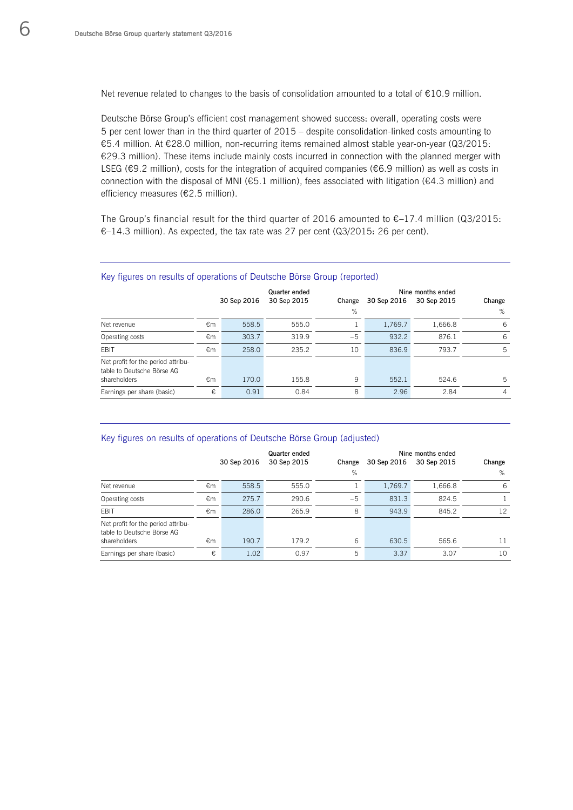Net revenue related to changes to the basis of consolidation amounted to a total of €10.9 million.

Deutsche Börse Group's efficient cost management showed success: overall, operating costs were 5 per cent lower than in the third quarter of 2015 – despite consolidation-linked costs amounting to €5.4 million. At €28.0 million, non-recurring items remained almost stable year-on-year (Q3/2015: €29.3 million). These items include mainly costs incurred in connection with the planned merger with LSEG (€9.2 million), costs for the integration of acquired companies (€6.9 million) as well as costs in connection with the disposal of MNI (€5.1 million), fees associated with litigation (€4.3 million) and efficiency measures (€2.5 million).

The Group's financial result for the third quarter of 2016 amounted to €–17.4 million (Q3/2015: €–14.3 million). As expected, the tax rate was 27 per cent (Q3/2015: 26 per cent).

| They insured on reduce or operations or Boutsene Borse droup (reported) |             |       |               |        |                   |             |                |  |  |
|-------------------------------------------------------------------------|-------------|-------|---------------|--------|-------------------|-------------|----------------|--|--|
|                                                                         |             |       | Quarter ended |        | Nine months ended |             |                |  |  |
|                                                                         | 30 Sep 2016 |       | 30 Sep 2015   | Change | 30 Sep 2016       | 30 Sep 2015 | Change         |  |  |
|                                                                         |             |       |               | %      |                   |             | %              |  |  |
| Net revenue                                                             | €m          | 558.5 | 555.0         |        | 1,769.7           | 1,666.8     | -6             |  |  |
| Operating costs                                                         | €m          | 303.7 | 319.9         | $-5$   | 932.2             | 876.1       | 6              |  |  |
| EBIT                                                                    | €m          | 258.0 | 235.2         | 10     | 836.9             | 793.7       | 5              |  |  |
| Net profit for the period attribu-<br>table to Deutsche Börse AG        |             |       |               |        |                   |             |                |  |  |
| shareholders                                                            | €m          | 170.0 | 155.8         | 9      | 552.1             | 524.6       | 5              |  |  |
| Earnings per share (basic)                                              | €           | 0.91  | 0.84          | 8      | 2.96              | 2.84        | $\overline{4}$ |  |  |

#### Key figures on results of operations of Deutsche Börse Group (reported)

#### Key figures on results of operations of Deutsche Börse Group (adjusted)

|                                                                  |    |             | Quarter ended |        |             |             |        |
|------------------------------------------------------------------|----|-------------|---------------|--------|-------------|-------------|--------|
|                                                                  |    | 30 Sep 2016 | 30 Sep 2015   | Change | 30 Sep 2016 | 30 Sep 2015 | Change |
|                                                                  |    |             |               | %      |             |             | %      |
| Net revenue                                                      | €m | 558.5       | 555.0         |        | 1,769.7     | 1.666.8     | 6      |
| Operating costs                                                  | €m | 275.7       | 290.6         | $-5$   | 831.3       | 824.5       |        |
| <b>FBIT</b>                                                      | €m | 286.0       | 265.9         | 8      | 943.9       | 845.2       | 12     |
| Net profit for the period attribu-<br>table to Deutsche Börse AG |    |             |               |        |             |             |        |
| shareholders                                                     | €m | 190.7       | 179.2         | 6      | 630.5       | 565.6       | 11     |
| Earnings per share (basic)                                       | €  | 1.02        | 0.97          | 5      | 3.37        | 3.07        | 10     |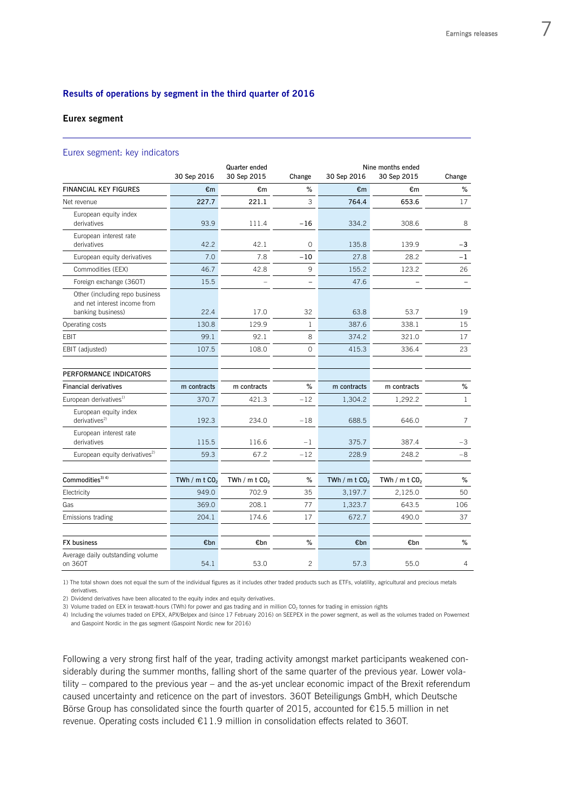#### **Results of operations by segment in the third quarter of 2016**

#### **Eurex segment**

 $\overline{a}$ 

#### Eurex segment: key indicators

|                                                                                     | 30 Sep 2016                 | Quarter ended<br>30 Sep 2015 | Change         | 30 Sep 2016                 | Nine months ended<br>30 Sep 2015 | Change         |
|-------------------------------------------------------------------------------------|-----------------------------|------------------------------|----------------|-----------------------------|----------------------------------|----------------|
| <b>FINANCIAL KEY FIGURES</b>                                                        | €m                          | €m                           | %              | €m                          | €m                               | %              |
| Net revenue                                                                         | 227.7                       | 221.1                        | 3              | 764.4                       | 653.6                            | 17             |
| European equity index<br>derivatives                                                | 93.9                        | 111.4                        | $-16$          | 334.2                       | 308.6                            | 8              |
| European interest rate<br>derivatives                                               | 42.2                        | 42.1                         | 0              | 135.8                       | 139.9                            | -3             |
| European equity derivatives                                                         | 7.0                         | 7.8                          | $-10$          | 27.8                        | 28.2                             | $-1$           |
| Commodities (EEX)                                                                   | 46.7                        | 42.8                         | 9              | 155.2                       | 123.2                            | 26             |
| Foreign exchange (360T)                                                             | 15.5                        |                              |                | 47.6                        |                                  |                |
| Other (including repo business<br>and net interest income from<br>banking business) | 22.4                        | 17.0                         | 32             | 63.8                        | 53.7                             | 19             |
| Operating costs                                                                     | 130.8                       | 129.9                        | $\mathbf{1}$   | 387.6                       | 338.1                            | 15             |
| <b>EBIT</b>                                                                         | 99.1                        | 92.1                         | 8              | 374.2                       | 321.0                            | 17             |
| EBIT (adjusted)                                                                     | 107.5                       | 108.0                        | $\circ$        | 415.3                       | 336.4                            | 23             |
| PERFORMANCE INDICATORS                                                              |                             |                              |                |                             |                                  |                |
| <b>Financial derivatives</b>                                                        | m contracts                 | m contracts                  | %              | m contracts                 | m contracts                      | $\%$           |
| European derivatives <sup>1)</sup>                                                  | 370.7                       | 421.3                        | $-12$          | 1,304.2                     | 1,292.2                          | $\mathbf{1}$   |
| European equity index<br>derivatives $2)$                                           | 192.3                       | 234.0                        | $-18$          | 688.5                       | 646.0                            | $\overline{7}$ |
| European interest rate<br>derivatives                                               | 115.5                       | 116.6                        | $-1$           | 375.7                       | 387.4                            | $-3$           |
| European equity derivatives <sup>2)</sup>                                           | 59.3                        | 67.2                         | $-12$          | 228.9                       | 248.2                            | $-8$           |
| Commodities <sup>3) 4)</sup>                                                        | TWh / $m$ t CO <sub>2</sub> | TWh / m t $CO2$              | $\%$           | TWh / $m$ t CO <sub>2</sub> | TWh / $m$ t CO <sub>2</sub>      | $\%$           |
| Electricity                                                                         | 949.0                       | 702.9                        | 35             | 3,197.7                     | 2,125.0                          | 50             |
| Gas                                                                                 | 369.0                       | 208.1                        | 77             | 1,323.7                     | 643.5                            | 106            |
| Emissions trading                                                                   | 204.1                       | 174.6                        | 17             | 672.7                       | 490.0                            | 37             |
| FX business                                                                         | €bn                         | €bn                          | $\%$           | €bn                         | €bn                              | $\%$           |
| Average daily outstanding volume<br>on 360T                                         | 54.1                        | 53.0                         | $\overline{c}$ | 57.3                        | 55.0                             | 4              |

1) The total shown does not equal the sum of the individual figures as it includes other traded products such as ETFs, volatility, agricultural and precious metals derivatives.

2) Dividend derivatives have been allocated to the equity index and equity derivatives.

3) Volume traded on EEX in terawatt-hours (TWh) for power and gas trading and in million  $CO<sub>2</sub>$  tonnes for trading in emission rights

4) Including the volumes traded on EPEX, APX/Belpex and (since 17 February 2016) on SEEPEX in the power segment, as well as the volumes traded on Powernext and Gaspoint Nordic in the gas segment (Gaspoint Nordic new for 2016)

Following a very strong first half of the year, trading activity amongst market participants weakened considerably during the summer months, falling short of the same quarter of the previous year. Lower volatility – compared to the previous year – and the as-yet unclear economic impact of the Brexit referendum caused uncertainty and reticence on the part of investors. 360T Beteiligungs GmbH, which Deutsche Börse Group has consolidated since the fourth quarter of 2015, accounted for €15.5 million in net revenue. Operating costs included €11.9 million in consolidation effects related to 360T.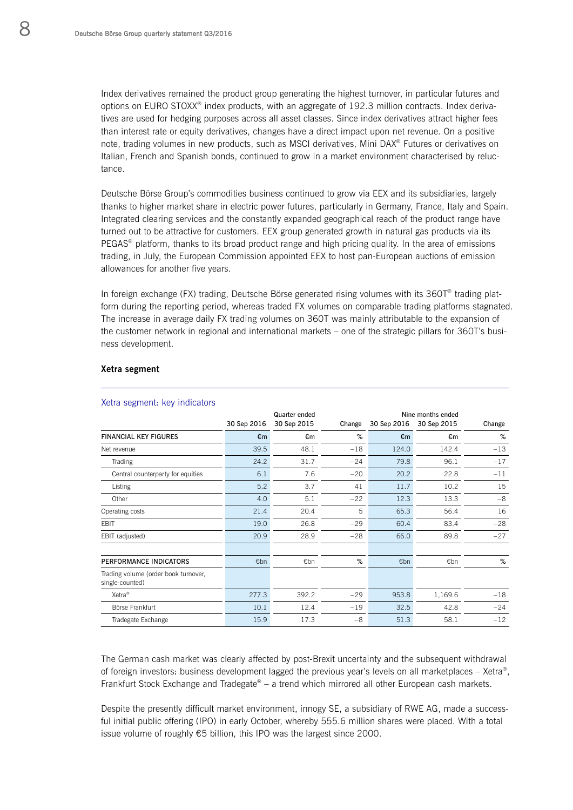Index derivatives remained the product group generating the highest turnover, in particular futures and options on EURO STOXX® index products, with an aggregate of 192.3 million contracts. Index derivatives are used for hedging purposes across all asset classes. Since index derivatives attract higher fees than interest rate or equity derivatives, changes have a direct impact upon net revenue. On a positive note, trading volumes in new products, such as MSCI derivatives, Mini DAX® Futures or derivatives on Italian, French and Spanish bonds, continued to grow in a market environment characterised by reluctance.

Deutsche Börse Group's commodities business continued to grow via EEX and its subsidiaries, largely thanks to higher market share in electric power futures, particularly in Germany, France, Italy and Spain. Integrated clearing services and the constantly expanded geographical reach of the product range have turned out to be attractive for customers. EEX group generated growth in natural gas products via its PEGAS® platform, thanks to its broad product range and high pricing quality. In the area of emissions trading, in July, the European Commission appointed EEX to host pan-European auctions of emission allowances for another five years.

In foreign exchange (FX) trading, Deutsche Börse generated rising volumes with its 360T® trading platform during the reporting period, whereas traded FX volumes on comparable trading platforms stagnated. The increase in average daily FX trading volumes on 360T was mainly attributable to the expansion of the customer network in regional and international markets – one of the strategic pillars for 360T's business development.

#### **Xetra segment**

L

| ັ                                                       |             | Quarter ended |        | Nine months ended |             |        |  |
|---------------------------------------------------------|-------------|---------------|--------|-------------------|-------------|--------|--|
|                                                         | 30 Sep 2016 | 30 Sep 2015   | Change | 30 Sep 2016       | 30 Sep 2015 | Change |  |
| <b>FINANCIAL KEY FIGURES</b>                            | €m          | €m            | %      | €m                | €m          | %      |  |
| Net revenue                                             | 39.5        | 48.1          | $-18$  | 124.0             | 142.4       | $-13$  |  |
| Trading                                                 | 24.2        | 31.7          | $-24$  | 79.8              | 96.1        | $-17$  |  |
| Central counterparty for equities                       | 6.1         | 7.6           | $-20$  | 20.2              | 22.8        | $-11$  |  |
| Listing                                                 | 5.2         | 3.7           | 41     | 11.7              | 10.2        | 15     |  |
| Other                                                   | 4.0         | 5.1           | $-22$  | 12.3              | 13.3        | $-8$   |  |
| Operating costs                                         | 21.4        | 20.4          | 5      | 65.3              | 56.4        | 16     |  |
| EBIT                                                    | 19.0        | 26.8          | $-29$  | 60.4              | 83.4        | $-28$  |  |
| EBIT (adjusted)                                         | 20.9        | 28.9          | $-28$  | 66.0              | 89.8        | $-27$  |  |
| PERFORMANCE INDICATORS                                  | €bn         | €bn           | %      | €bn               | €bn         | %      |  |
| Trading volume (order book turnover,<br>single-counted) |             |               |        |                   |             |        |  |
| Xetra <sup>®</sup>                                      | 277.3       | 392.2         | $-29$  | 953.8             | 1,169.6     | $-18$  |  |
| Börse Frankfurt                                         | 10.1        | 12.4          | $-19$  | 32.5              | 42.8        | $-24$  |  |
| Tradegate Exchange                                      | 15.9        | 17.3          | $-8$   | 51.3              | 58.1        | $-12$  |  |

#### Xetra segment: key indicators

The German cash market was clearly affected by post-Brexit uncertainty and the subsequent withdrawal of foreign investors: business development lagged the previous year's levels on all marketplaces – Xetra®, Frankfurt Stock Exchange and Tradegate® – a trend which mirrored all other European cash markets.

Despite the presently difficult market environment, innogy SE, a subsidiary of RWE AG, made a successful initial public offering (IPO) in early October, whereby 555.6 million shares were placed. With a total issue volume of roughly €5 billion, this IPO was the largest since 2000.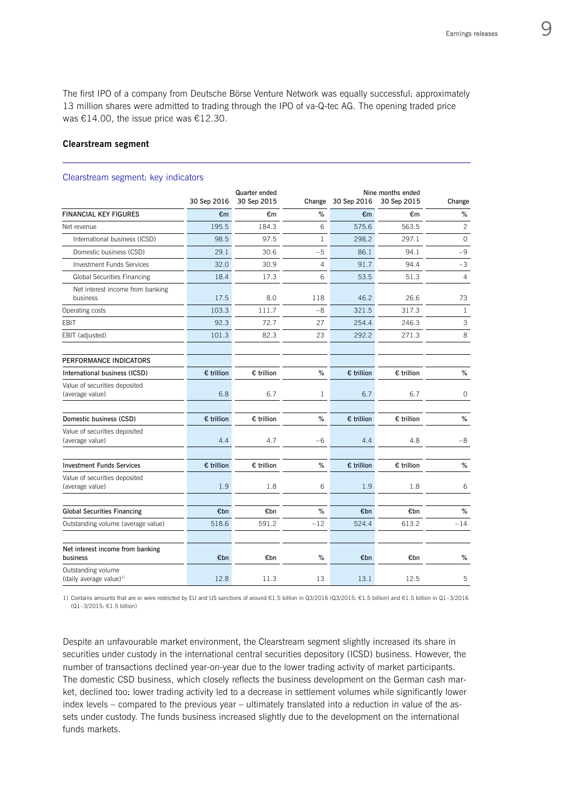The first IPO of a company from Deutsche Börse Venture Network was equally successful: approximately 13 million shares were admitted to trading through the IPO of va-Q-tec AG. The opening traded price was €14.00, the issue price was €12.30.

#### **Clearstream segment**

 $\overline{a}$ 

|                                                     | 30 Sep 2016         | Quarter ended<br>30 Sep 2015 | Change         | 30 Sep 2016  | Nine months ended<br>30 Sep 2015 | Change         |
|-----------------------------------------------------|---------------------|------------------------------|----------------|--------------|----------------------------------|----------------|
| <b>FINANCIAL KEY FIGURES</b>                        | €m                  | €m                           | %              | €m           | €m                               | $\%$           |
| Net revenue                                         | 195.5               | 184.3                        | 6              | 575.6        | 563.5                            | $\overline{c}$ |
| International business (ICSD)                       | 98.5                | 97.5                         | $\mathbf{1}$   | 298.2        | 297.1                            | $\circ$        |
| Domestic business (CSD)                             | 29.1                | 30.6                         | $-5$           | 86.1         | 94.1                             | $-9$           |
| <b>Investment Funds Services</b>                    | 32.0                | 30.9                         | $\overline{4}$ | 91.7         | 94.4                             | $-3$           |
| Global Securities Financing                         | 18.4                | 17.3                         | 6              | 53.5         | 51.3                             | $\overline{4}$ |
| Net interest income from banking<br>business        | 17.5                | 8.0                          | 118            | 46.2         | 26.6                             | 73             |
| Operating costs                                     | 103.3               | 111.7                        | $-8$           | 321.5        | 317.3                            | $\mathbf{1}$   |
| <b>EBIT</b>                                         | 92.3                | 72.7                         | 27             | 254.4        | 246.3                            | 3              |
| EBIT (adjusted)                                     | 101.3               | 82.3                         | 23             | 292.2        | 271.3                            | 8              |
| PERFORMANCE INDICATORS                              |                     |                              |                |              |                                  |                |
| International business (ICSD)                       | $\epsilon$ trillion | $\epsilon$ trillion          | %              | $E$ trillion | € trillion                       | %              |
| Value of securities deposited<br>(average value)    | 6.8                 | 6.7                          | 1              | 6.7          | 6.7                              | $\circ$        |
| Domestic business (CSD)                             | € trillion          | € trillion                   | %              | € trillion   | € trillion                       | $\%$           |
| Value of securities deposited<br>(average value)    | 4.4                 | 4.7                          | $-6$           | 4.4          | 4.8                              | $-8$           |
| <b>Investment Funds Services</b>                    | $\epsilon$ trillion | € trillion                   | %              | $E$ trillion | € trillion                       | %              |
| Value of securities deposited<br>(average value)    | 1.9                 | 1.8                          | 6              | 1.9          | 1.8                              | 6              |
| <b>Global Securities Financing</b>                  | €bn                 | €bn                          | %              | €bn          | €bn                              | $\%$           |
| Outstanding volume (average value)                  | 518.6               | 591.2                        | $-12$          | 524.4        | 613.2                            | $-14$          |
| Net interest income from banking<br>business        | €bn                 | €bn                          | %              | €bn          | €bn                              | %              |
| Outstanding volume<br>(daily average value) $^{11}$ | 12.8                | 11.3                         | 13             | 13.1         | 12.5                             | 5              |

Clearstream segment: key indicators

1) Contains amounts that are or were restricted by EU and US sanctions of around €1.5 billion in Q3/2016 (Q3/2015: €1.5 billion) and €1.5 billion in Q1-3/2016 (Q1-3/2015: €1.5 billion)

Despite an unfavourable market environment, the Clearstream segment slightly increased its share in securities under custody in the international central securities depository (ICSD) business. However, the number of transactions declined year-on-year due to the lower trading activity of market participants. The domestic CSD business, which closely reflects the business development on the German cash market, declined too: lower trading activity led to a decrease in settlement volumes while significantly lower index levels – compared to the previous year – ultimately translated into a reduction in value of the assets under custody. The funds business increased slightly due to the development on the international funds markets.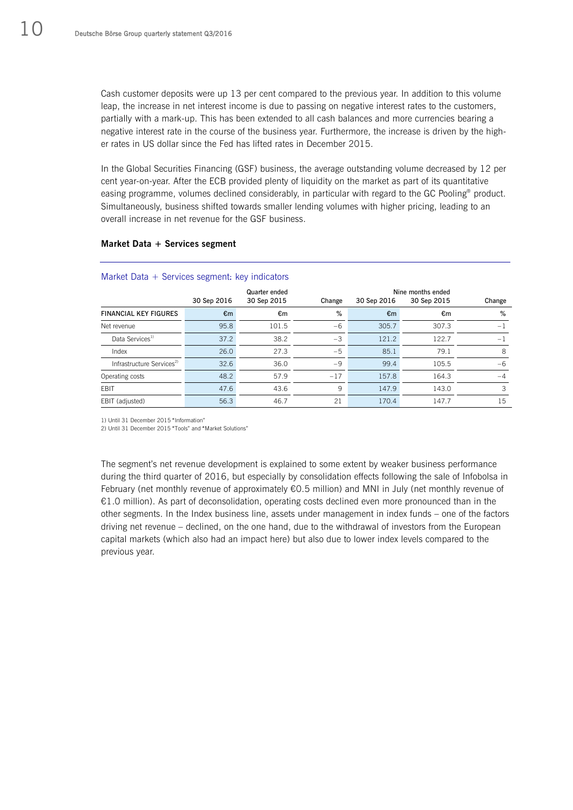Cash customer deposits were up 13 per cent compared to the previous year. In addition to this volume leap, the increase in net interest income is due to passing on negative interest rates to the customers, partially with a mark-up. This has been extended to all cash balances and more currencies bearing a negative interest rate in the course of the business year. Furthermore, the increase is driven by the higher rates in US dollar since the Fed has lifted rates in December 2015.

In the Global Securities Financing (GSF) business, the average outstanding volume decreased by 12 per cent year-on-year. After the ECB provided plenty of liquidity on the market as part of its quantitative easing programme, volumes declined considerably, in particular with regard to the GC Pooling<sup>®</sup> product. Simultaneously, business shifted towards smaller lending volumes with higher pricing, leading to an overall increase in net revenue for the GSF business.

| Market Data + Services segment: key indicators |               |             |        |             |                   |        |  |  |  |  |
|------------------------------------------------|---------------|-------------|--------|-------------|-------------------|--------|--|--|--|--|
|                                                | Quarter ended |             |        |             | Nine months ended |        |  |  |  |  |
|                                                | 30 Sep 2016   | 30 Sep 2015 | Change | 30 Sep 2016 | 30 Sep 2015       | Change |  |  |  |  |
| <b>FINANCIAL KEY FIGURES</b>                   | €m            | €m          | %      | €m          | €m                | %      |  |  |  |  |
| Net revenue                                    | 95.8          | 101.5       | $-6$   | 305.7       | 307.3             | $-1$   |  |  |  |  |
| Data Services <sup>1)</sup>                    | 37.2          | 38.2        | $-3$   | 121.2       | 122.7             | $-1$   |  |  |  |  |
| Index                                          | 26.0          | 27.3        | $-5$   | 85.1        | 79.1              | 8      |  |  |  |  |
| Infrastructure Services <sup>2)</sup>          | 32.6          | 36.0        | -9     | 99.4        | 105.5             | $-6$   |  |  |  |  |
| Operating costs                                | 48.2          | 57.9        | $-17$  | 157.8       | 164.3             | $-4$   |  |  |  |  |
| <b>EBIT</b>                                    | 47.6          | 43.6        | 9      | 147.9       | 143.0             | 3      |  |  |  |  |
| EBIT (adjusted)                                | 56.3          | 46.7        | 21     | 170.4       | 147.7             | 15     |  |  |  |  |

#### **Market Data + Services segment**

1) Until 31 December 2015 "Information"

2) Until 31 December 2015 "Tools" and "Market Solutions"

The segment's net revenue development is explained to some extent by weaker business performance during the third quarter of 2016, but especially by consolidation effects following the sale of Infobolsa in February (net monthly revenue of approximately €0.5 million) and MNI in July (net monthly revenue of €1.0 million). As part of deconsolidation, operating costs declined even more pronounced than in the other segments. In the Index business line, assets under management in index funds – one of the factors driving net revenue – declined, on the one hand, due to the withdrawal of investors from the European capital markets (which also had an impact here) but also due to lower index levels compared to the previous year.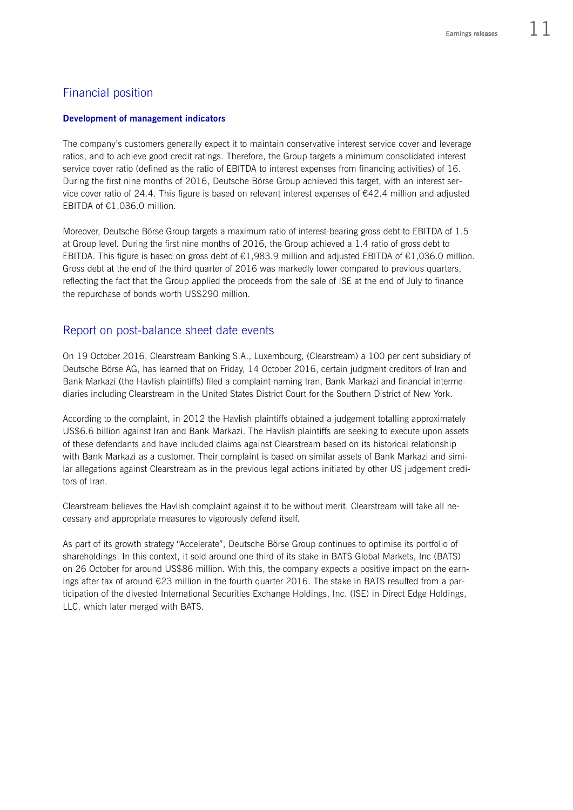# Financial position

## **Development of management indicators**

The company's customers generally expect it to maintain conservative interest service cover and leverage ratios, and to achieve good credit ratings. Therefore, the Group targets a minimum consolidated interest service cover ratio (defined as the ratio of EBITDA to interest expenses from financing activities) of 16. During the first nine months of 2016, Deutsche Börse Group achieved this target, with an interest service cover ratio of 24.4. This figure is based on relevant interest expenses of €42.4 million and adjusted EBITDA of €1,036.0 million.

Moreover, Deutsche Börse Group targets a maximum ratio of interest-bearing gross debt to EBITDA of 1.5 at Group level. During the first nine months of 2016, the Group achieved a 1.4 ratio of gross debt to EBITDA. This figure is based on gross debt of €1,983.9 million and adjusted EBITDA of €1,036.0 million. Gross debt at the end of the third quarter of 2016 was markedly lower compared to previous quarters, reflecting the fact that the Group applied the proceeds from the sale of ISE at the end of July to finance the repurchase of bonds worth US\$290 million.

# Report on post-balance sheet date events

On 19 October 2016, Clearstream Banking S.A., Luxembourg, (Clearstream) a 100 per cent subsidiary of Deutsche Börse AG, has learned that on Friday, 14 October 2016, certain judgment creditors of Iran and Bank Markazi (the Havlish plaintiffs) filed a complaint naming Iran, Bank Markazi and financial intermediaries including Clearstream in the United States District Court for the Southern District of New York.

According to the complaint, in 2012 the Havlish plaintiffs obtained a judgement totalling approximately US\$6.6 billion against Iran and Bank Markazi. The Havlish plaintiffs are seeking to execute upon assets of these defendants and have included claims against Clearstream based on its historical relationship with Bank Markazi as a customer. Their complaint is based on similar assets of Bank Markazi and similar allegations against Clearstream as in the previous legal actions initiated by other US judgement creditors of Iran.

Clearstream believes the Havlish complaint against it to be without merit. Clearstream will take all necessary and appropriate measures to vigorously defend itself.

As part of its growth strategy "Accelerate", Deutsche Börse Group continues to optimise its portfolio of shareholdings. In this context, it sold around one third of its stake in BATS Global Markets, Inc (BATS) on 26 October for around US\$86 million. With this, the company expects a positive impact on the earnings after tax of around €23 million in the fourth quarter 2016. The stake in BATS resulted from a participation of the divested International Securities Exchange Holdings, Inc. (ISE) in Direct Edge Holdings, LLC, which later merged with BATS.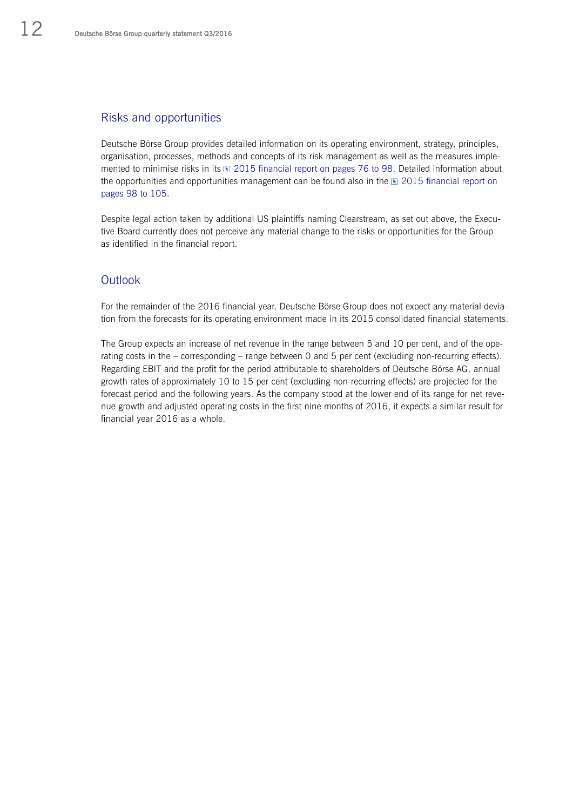# Risks and opportunities

Deutsche Börse Group provides detailed information on its operating environment, strategy, principles, organisation, processes, methods and concepts of its risk management as well as the measures implemented to minimise risks in its  $\mathbb{E}$  2015 financial report on pages 76 to 98. Detailed information about the opportunities and opportunities management can be found also in the  $\mathbb E$  2015 financial report on pages 98 to 105.

Despite legal action taken by additional US plaintiffs naming Clearstream, as set out above, the Executive Board currently does not perceive any material change to the risks or opportunities for the Group as identified in the financial report.

# **Outlook**

For the remainder of the 2016 financial year, Deutsche Börse Group does not expect any material deviation from the forecasts for its operating environment made in its 2015 consolidated financial statements.

The Group expects an increase of net revenue in the range between 5 and 10 per cent, and of the operating costs in the – corresponding – range between 0 and 5 per cent (excluding non-recurring effects). Regarding EBIT and the profit for the period attributable to shareholders of Deutsche Börse AG, annual growth rates of approximately 10 to 15 per cent (excluding non-recurring effects) are projected for the forecast period and the following years. As the company stood at the lower end of its range for net revenue growth and adjusted operating costs in the first nine months of 2016, it expects a similar result for financial year 2016 as a whole.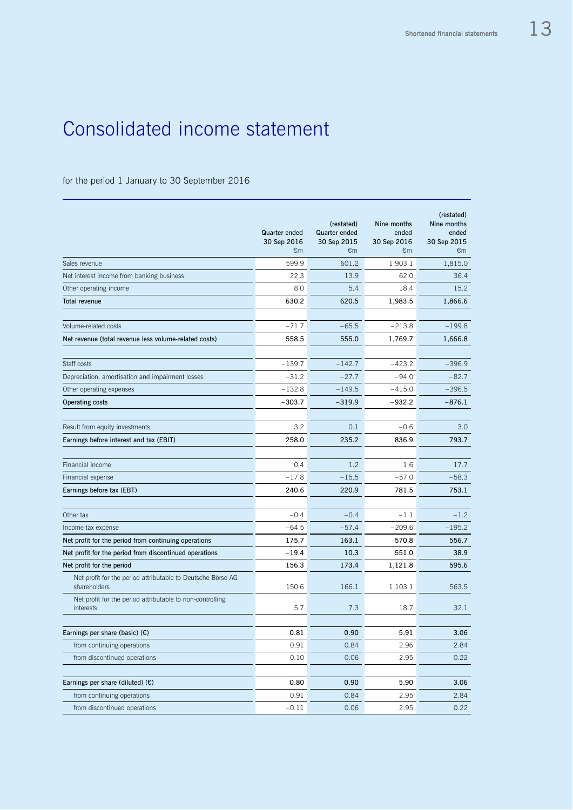# Consolidated income statement

# for the period 1 January to 30 September 2016

|                                                                             | Quarter ended<br>30 Sep 2016<br>€m | (restated)<br>Quarter ended<br>30 Sep 2015<br>€m | Nine months<br>ended<br>30 Sep 2016<br>€m | (restated)<br>Nine months<br>ended<br>30 Sep 2015<br>€m |
|-----------------------------------------------------------------------------|------------------------------------|--------------------------------------------------|-------------------------------------------|---------------------------------------------------------|
| Sales revenue                                                               | 599.9                              | 601.2                                            | 1,903.1                                   | 1,815.0                                                 |
| Net interest income from banking business                                   | 22.3                               | 13.9                                             | 62.0                                      | 36.4                                                    |
| Other operating income                                                      | 8.0                                | 5.4                                              | 18.4                                      | 15.2                                                    |
| <b>Total revenue</b>                                                        | 630.2                              | 620.5                                            | 1,983.5                                   | 1,866.6                                                 |
| Volume-related costs                                                        | $-71.7$                            | $-65.5$                                          | $-213.8$                                  | $-199.8$                                                |
| Net revenue (total revenue less volume-related costs)                       | 558.5                              | 555.0                                            | 1,769.7                                   | 1,666.8                                                 |
|                                                                             |                                    |                                                  |                                           |                                                         |
| Staff costs                                                                 | $-139.7$                           | $-142.7$                                         | $-423.2$                                  | $-396.9$                                                |
| Depreciation, amortisation and impairment losses                            | $-31.2$                            | $-27.7$                                          | $-94.0$                                   | $-82.7$                                                 |
| Other operating expenses                                                    | $-132.8$                           | $-149.5$                                         | $-415.0$                                  | $-396.5$                                                |
| <b>Operating costs</b>                                                      | $-303.7$                           | $-319.9$                                         | $-932.2$                                  | $-876.1$                                                |
| Result from equity investments                                              | 3.2                                | 0.1                                              | $-0.6$                                    | 3.0                                                     |
| Earnings before interest and tax (EBIT)                                     | 258.0                              | 235.2                                            | 836.9                                     | 793.7                                                   |
|                                                                             |                                    |                                                  |                                           |                                                         |
| Financial income                                                            | 0.4                                | 1.2                                              | 1.6                                       | 17.7                                                    |
| Financial expense                                                           | $-17.8$                            | $-15.5$                                          | $-57.0$                                   | $-58.3$                                                 |
| Earnings before tax (EBT)                                                   | 240.6                              | 220.9                                            | 781.5                                     | 753.1                                                   |
| Other tax                                                                   | $-0.4$                             | $-0.4$                                           | $-1.1$                                    | $-1.2$                                                  |
| Income tax expense                                                          | $-64.5$                            | $-57.4$                                          | $-209.6$                                  | $-195.2$                                                |
| Net profit for the period from continuing operations                        | 175.7                              | 163.1                                            | 570.8                                     | 556.7                                                   |
| Net profit for the period from discontinued operations                      | $-19.4$                            | 10.3                                             | 551.0                                     | 38.9                                                    |
| Net profit for the period                                                   | 156.3                              | 173.4                                            | 1,121.8                                   | 595.6                                                   |
| Net profit for the period attributable to Deutsche Börse AG<br>shareholders | 150.6                              | 166.1                                            | 1,103.1                                   | 563.5                                                   |
| Net profit for the period attributable to non-controlling<br>interests      | 5.7                                | 7.3                                              | 18.7                                      | 32.1                                                    |
|                                                                             |                                    |                                                  |                                           |                                                         |
| Earnings per share (basic) $(E)$                                            | 0.81                               | 0.90                                             | 5.91                                      | 3.06                                                    |
| from continuing operations                                                  | 0.91                               | 0.84                                             | 2.96                                      | 2.84                                                    |
| from discontinued operations                                                | $-0.10$                            | 0.06                                             | 2.95                                      | 0.22                                                    |
| Earnings per share (diluted) $(E)$                                          | 0.80                               | 0.90                                             | 5.90                                      | 3.06                                                    |
| from continuing operations                                                  | 0.91                               | 0.84                                             | 2.95                                      | 2.84                                                    |
| from discontinued operations                                                | $-0.11$                            | 0.06                                             | 2.95                                      | 0.22                                                    |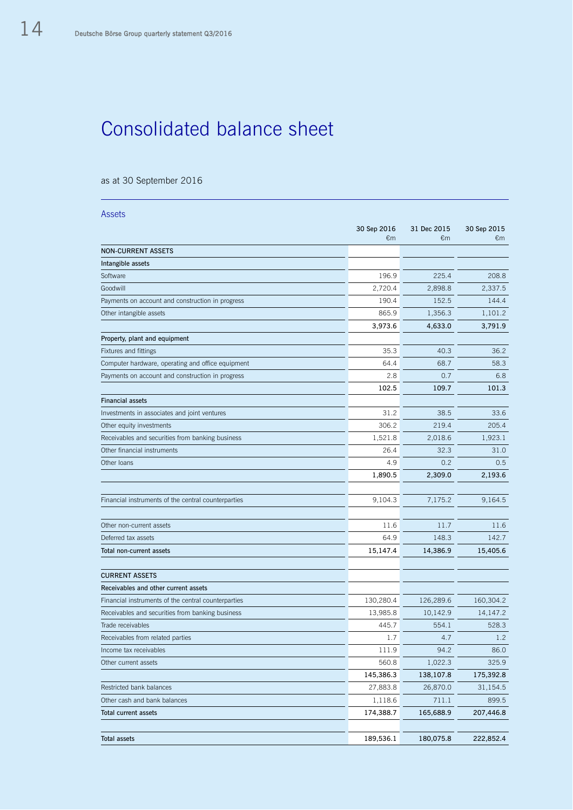# Consolidated balance sheet

## as at 30 September 2016

| <b>Assets</b>                                       |                   |                             |                   |
|-----------------------------------------------------|-------------------|-----------------------------|-------------------|
|                                                     | 30 Sep 2016<br>€m | 31 Dec 2015<br>$\epsilon$ m | 30 Sep 2015<br>€m |
| <b>NON-CURRENT ASSETS</b>                           |                   |                             |                   |
| Intangible assets                                   |                   |                             |                   |
| Software                                            | 196.9             | 225.4                       | 208.8             |
| Goodwill                                            | 2,720.4           | 2,898.8                     | 2,337.5           |
| Payments on account and construction in progress    | 190.4             | 152.5                       | 144.4             |
| Other intangible assets                             | 865.9             | 1,356.3                     | 1,101.2           |
|                                                     | 3,973.6           | 4,633.0                     | 3,791.9           |
| Property, plant and equipment                       |                   |                             |                   |
| Fixtures and fittings                               | 35.3              | 40.3                        | 36.2              |
| Computer hardware, operating and office equipment   | 64.4              | 68.7                        | 58.3              |
| Payments on account and construction in progress    | 2.8               | 0.7                         | 6.8               |
|                                                     | 102.5             | 109.7                       | 101.3             |
| <b>Financial assets</b>                             |                   |                             |                   |
| Investments in associates and joint ventures        | 31.2              | 38.5                        | 33.6              |
| Other equity investments                            | 306.2             | 219.4                       | 205.4             |
| Receivables and securities from banking business    | 1,521.8           | 2,018.6                     | 1,923.1           |
| Other financial instruments                         | 26.4              | 32.3                        | 31.0              |
| Other loans                                         | 4.9               | 0.2                         | 0.5               |
|                                                     | 1,890.5           | 2,309.0                     | 2,193.6           |
|                                                     |                   |                             |                   |
| Financial instruments of the central counterparties | 9,104.3           | 7,175.2                     | 9,164.5           |
|                                                     |                   |                             |                   |
| Other non-current assets                            | 11.6              | 11.7                        | 11.6              |
| Deferred tax assets                                 | 64.9              | 148.3                       | 142.7             |
| Total non-current assets                            | 15,147.4          | 14,386.9                    | 15,405.6          |
|                                                     |                   |                             |                   |
| <b>CURRENT ASSETS</b>                               |                   |                             |                   |
| Receivables and other current assets                |                   |                             |                   |
| Financial instruments of the central counterparties | 130,280.4         | 126,289.6                   | 160,304.2         |
| Receivables and securities from banking business    | 13,985.8          | 10,142.9                    | 14,147.2          |
| Trade receivables                                   | 445.7             | 554.1                       | 528.3             |
| Receivables from related parties                    | 1.7               | 4.7                         | 1.2               |
| Income tax receivables                              | 111.9             | 94.2                        | 86.0              |
| Other current assets                                | 560.8             | 1,022.3                     | 325.9             |
|                                                     | 145,386.3         | 138,107.8                   | 175,392.8         |
| Restricted bank balances                            | 27,883.8          | 26,870.0                    | 31,154.5          |
| Other cash and bank balances                        | 1,118.6           | 711.1                       | 899.5             |
| Total current assets                                | 174,388.7         | 165,688.9                   | 207,446.8         |
|                                                     |                   |                             |                   |
| <b>Total assets</b>                                 | 189,536.1         | 180,075.8                   | 222,852.4         |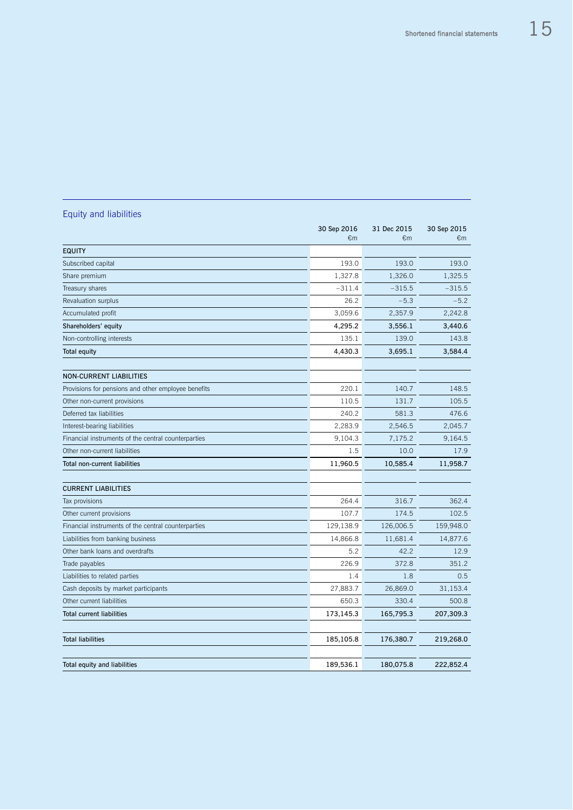|                                                     | 30 Sep 2016 | 31 Dec 2015 | 30 Sep 2015 |
|-----------------------------------------------------|-------------|-------------|-------------|
|                                                     | €m          | €m          | €m          |
| <b>EQUITY</b>                                       |             |             |             |
| Subscribed capital                                  | 193.0       | 193.0       | 193.0       |
| Share premium                                       | 1,327.8     | 1,326.0     | 1,325.5     |
| Treasury shares                                     | $-311.4$    | $-315.5$    | $-315.5$    |
| Revaluation surplus                                 | 26.2        | $-5.3$      | $-5.2$      |
| Accumulated profit                                  | 3,059.6     | 2,357.9     | 2,242.8     |
| Shareholders' equity                                | 4,295.2     | 3,556.1     | 3,440.6     |
| Non-controlling interests                           | 135.1       | 139.0       | 143.8       |
| <b>Total equity</b>                                 | 4,430.3     | 3,695.1     | 3,584.4     |
|                                                     |             |             |             |
| <b>NON-CURRENT LIABILITIES</b>                      |             |             |             |
| Provisions for pensions and other employee benefits | 220.1       | 140.7       | 148.5       |
| Other non-current provisions                        | 110.5       | 131.7       | 105.5       |
| Deferred tax liabilities                            | 240.2       | 581.3       | 476.6       |
| Interest-bearing liabilities                        | 2,283.9     | 2,546.5     | 2,045.7     |
| Financial instruments of the central counterparties | 9,104.3     | 7,175.2     | 9,164.5     |
| Other non-current liabilities                       | 1.5         | 10.0        | 17.9        |
| <b>Total non-current liabilities</b>                | 11,960.5    | 10,585.4    | 11,958.7    |
|                                                     |             |             |             |
| <b>CURRENT LIABILITIES</b>                          |             |             |             |
| Tax provisions                                      | 264.4       | 316.7       | 362.4       |
| Other current provisions                            | 107.7       | 174.5       | 102.5       |
| Financial instruments of the central counterparties | 129,138.9   | 126,006.5   | 159,948.0   |
| Liabilities from banking business                   | 14,866.8    | 11,681.4    | 14,877.6    |
| Other bank loans and overdrafts                     | 5.2         | 42.2        | 12.9        |
| Trade payables                                      | 226.9       | 372.8       | 351.2       |
| Liabilities to related parties                      | 1.4         | 1.8         | 0.5         |
| Cash deposits by market participants                | 27,883.7    | 26,869.0    | 31,153.4    |
| Other current liabilities                           | 650.3       | 330.4       | 500.8       |
| <b>Total current liabilities</b>                    | 173,145.3   | 165,795.3   | 207,309.3   |
|                                                     |             |             |             |
| <b>Total liabilities</b>                            | 185,105.8   | 176,380.7   | 219,268.0   |
|                                                     |             |             |             |
| Total equity and liabilities                        | 189,536.1   | 180,075.8   | 222,852.4   |

# Equity and liabilities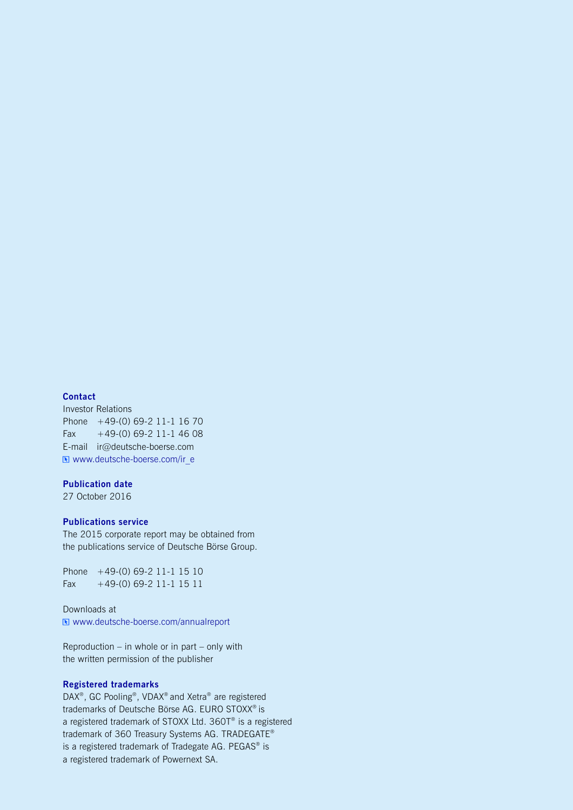#### **Contact**

Investor Relations Phone +49-(0) 69-2 11-1 16 70 Fax  $+49-(0)$  69-2 11-1 46 08 E-mail ir@deutsche-boerse.com Www.deutsche-boerse.com/ir\_e

#### **Publication date**

27 October 2016

#### **Publications service**

The 2015 corporate report may be obtained from the publications service of Deutsche Börse Group.

Phone +49-(0) 69-2 11-1 15 10 Fax  $+49-(0)$  69-2 11-1 15 11

Downloads at [www.deutsche-boerse.com/annualreport](http://www.deutsche-boerse.com/annualreport)

Reproduction – in whole or in part – only with the written permission of the publisher

## **Registered trademarks**

DAX<sup>®</sup>, GC Pooling<sup>®</sup>, VDAX<sup>®</sup> and Xetra<sup>®</sup> are registered trademarks of Deutsche Börse AG. EURO STOXX® is a registered trademark of STOXX Ltd. 360T® is a registered trademark of 360 Treasury Systems AG. TRADEGATE® is a registered trademark of Tradegate AG. PEGAS® is a registered trademark of Powernext SA.